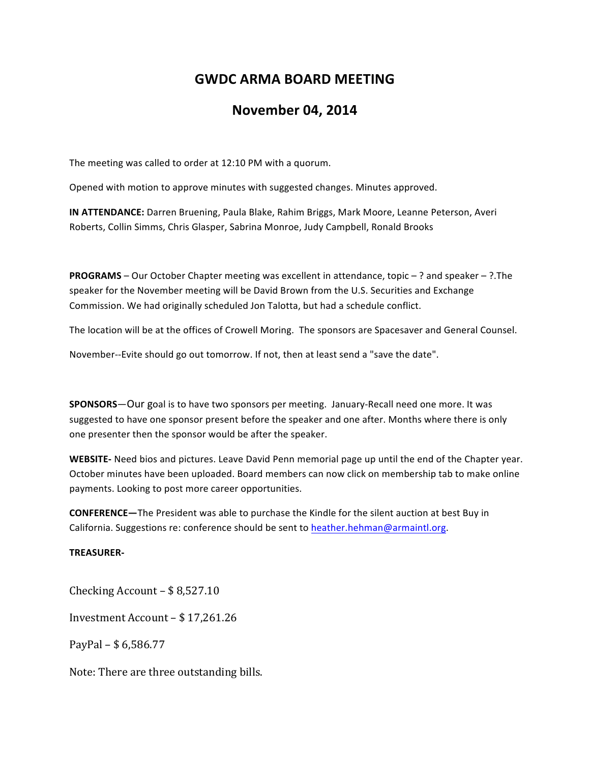## **GWDC ARMA BOARD MEETING**

## **November 04, 2014**

The meeting was called to order at 12:10 PM with a quorum.

Opened with motion to approve minutes with suggested changes. Minutes approved.

**IN ATTENDANCE:** Darren Bruening, Paula Blake, Rahim Briggs, Mark Moore, Leanne Peterson, Averi Roberts, Collin Simms, Chris Glasper, Sabrina Monroe, Judy Campbell, Ronald Brooks

**PROGRAMS** – Our October Chapter meeting was excellent in attendance, topic – ? and speaker – ?.The speaker for the November meeting will be David Brown from the U.S. Securities and Exchange Commission. We had originally scheduled Jon Talotta, but had a schedule conflict.

The location will be at the offices of Crowell Moring. The sponsors are Spacesaver and General Counsel.

November--Evite should go out tomorrow. If not, then at least send a "save the date".

**SPONSORS**—Our goal is to have two sponsors per meeting. January-Recall need one more. It was suggested to have one sponsor present before the speaker and one after. Months where there is only one presenter then the sponsor would be after the speaker.

**WEBSITE-** Need bios and pictures. Leave David Penn memorial page up until the end of the Chapter year. October minutes have been uploaded. Board members can now click on membership tab to make online payments. Looking to post more career opportunities.

**CONFERENCE**—The President was able to purchase the Kindle for the silent auction at best Buy in California. Suggestions re: conference should be sent to heather.hehman@armaintl.org.

## **TREASURER-**

Checking Account  $-$  \$ 8,527.10

Investment Account - \$17,261.26

PayPal –  $$6,586.77$ 

Note: There are three outstanding bills.